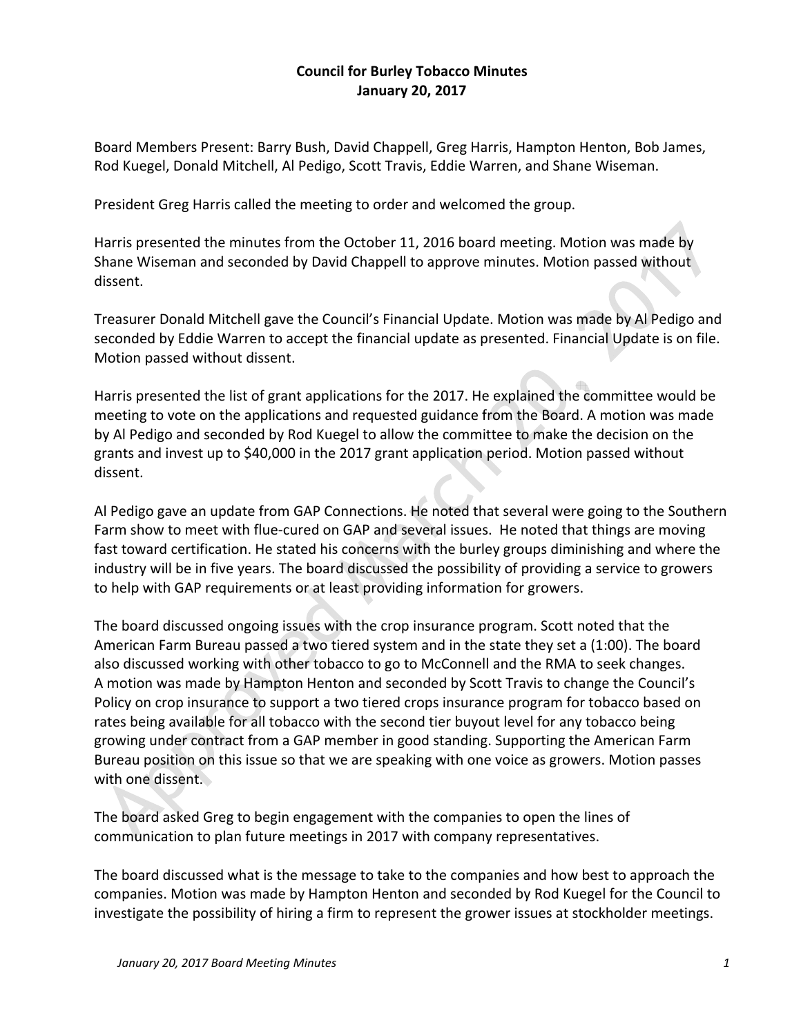## **Council for Burley Tobacco Minutes January 20, 2017**

Board Members Present: Barry Bush, David Chappell, Greg Harris, Hampton Henton, Bob James, Rod Kuegel, Donald Mitchell, Al Pedigo, Scott Travis, Eddie Warren, and Shane Wiseman.

President Greg Harris called the meeting to order and welcomed the group.

Harris presented the minutes from the October 11, 2016 board meeting. Motion was made by Shane Wiseman and seconded by David Chappell to approve minutes. Motion passed without dissent.

Treasurer Donald Mitchell gave the Council's Financial Update. Motion was made by Al Pedigo and seconded by Eddie Warren to accept the financial update as presented. Financial Update is on file. Motion passed without dissent.

Harris presented the list of grant applications for the 2017. He explained the committee would be meeting to vote on the applications and requested guidance from the Board. A motion was made by Al Pedigo and seconded by Rod Kuegel to allow the committee to make the decision on the grants and invest up to \$40,000 in the 2017 grant application period. Motion passed without dissent.

Al Pedigo gave an update from GAP Connections. He noted that several were going to the Southern Farm show to meet with flue‐cured on GAP and several issues. He noted that things are moving fast toward certification. He stated his concerns with the burley groups diminishing and where the industry will be in five years. The board discussed the possibility of providing a service to growers to help with GAP requirements or at least providing information for growers.

The board discussed ongoing issues with the crop insurance program. Scott noted that the American Farm Bureau passed a two tiered system and in the state they set a (1:00). The board also discussed working with other tobacco to go to McConnell and the RMA to seek changes. A motion was made by Hampton Henton and seconded by Scott Travis to change the Council's Policy on crop insurance to support a two tiered crops insurance program for tobacco based on rates being available for all tobacco with the second tier buyout level for any tobacco being growing under contract from a GAP member in good standing. Supporting the American Farm Bureau position on this issue so that we are speaking with one voice as growers. Motion passes with one dissent.

The board asked Greg to begin engagement with the companies to open the lines of communication to plan future meetings in 2017 with company representatives.

The board discussed what is the message to take to the companies and how best to approach the companies. Motion was made by Hampton Henton and seconded by Rod Kuegel for the Council to investigate the possibility of hiring a firm to represent the grower issues at stockholder meetings.